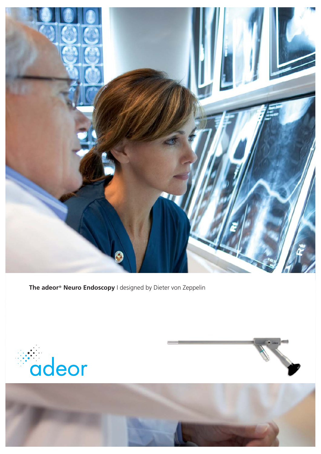

**The adeor® Neuro Endoscopy** I designed by Dieter von Zeppelin





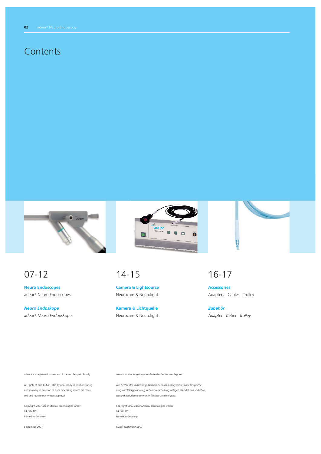## **Contents**

 $\bullet$   $\bullet$ 



## 14-15

**Camera & Lightsource** Neurocam & Neurolight

**Kamera & Lichtquelle** Neurocam & Neurolight

# 16-17

**Accessories** Adapters Cables Trolley

*Zubehör Adapter Kabel Trolley*

adeor® is a registered trademark of the von Zeppelin Family.

All rights of distribution, also by photocopy, reprint or storing and recovery in any kind of data processing device are reserved and require our written approval.

Copyright 2007 adeor Medical Technologies GmbH 04-907-D/E Printed in Germany

September 2007

07-12

**Neuro Endoscopes** adeor® Neuro Endoscopes

*Neuro Endoskope adeor® Neuro Endopskope*

*adeor® ist eine eingetragene Marke der Familie von Zeppelin.*

*Alle Rechte der Verbreitung, Nachdruck (auch auszugsweise) oder Einspeicherung und Rückgewinnung in Datenverarbeitungsanlagen aller Art sind vorbehalten und bedürfen unserer schriftlichen Genehmigung.*

*Copyright 2007 adeor Medical Technologies GmbH 04-907-D/E Printed in Germany*

*Stand: September 2007*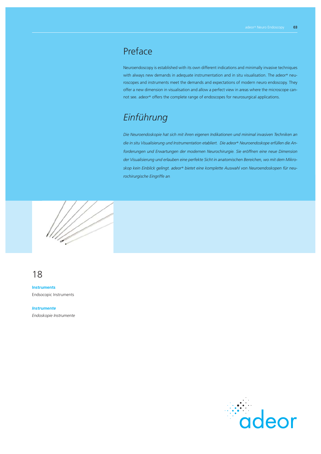## Preface

Neuroendoscopy is established with its own different indications and minimally invasive techniques with always new demands in adequate instrumentation and in situ visualisation. The adeor® neuroscopes and instruments meet the demands and expectations of modern neuro endoscopy. They offer a new dimension in visualisation and allow a perfect view in areas where the microscope cannot see. adeor® offers the complete range of endoscopes for neurosurgical applications.

# *Einführung*

*Die Neuroendoskopie hat sich mit ihren eigenen Indikationen und minimal invasiven Techniken an die in situ Visualisierung und Instrumentation etabliert. Die adeor® Neuroendoskope erfüllen die Anforderungen und Erwartungen der modernen Neurochirurgie. Sie eröffnen eine neue Dimension der Visualisierung und erlauben eine perfekte Sicht in anatomischen Bereichen, wo mit dem Mikroskop kein Einblick gelingt. adeor® bietet eine komplette Auswahl von Neuroendoskopen für neurochirurgische Eingriffe an*.



# 18

**Instruments** Endsocopic Instruments

*Instrumente Endoskopie Instrumente*

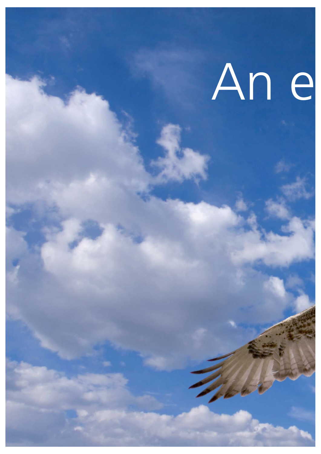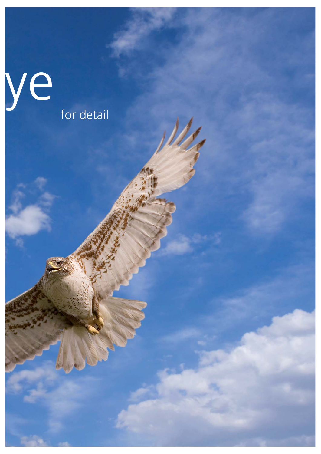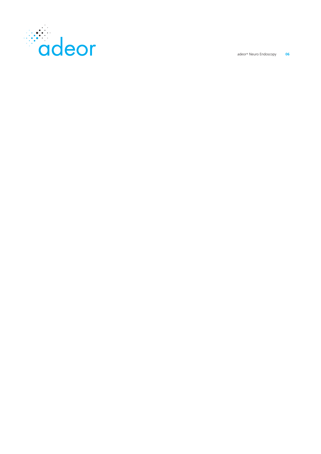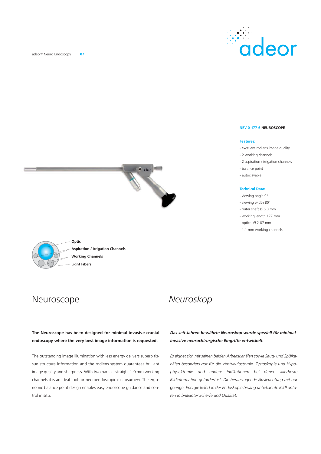

### **NEV 0-177-6 NEUROSCOPE**

#### **Features:**

- excellent rodlens image quality
- 2 working channels
- 2 aspiration / irrigation channels
- balance point
- autoclavable

#### **Technical Data:**

- viewing angle 0°
- viewing width 80°
- outer shaft Ø 6.0 mm
- working length 177 mm
- optical Ø 2.87 mm
- 1.1 mm working channels





# Neuroscope *Neuroskop*

### **The Neuroscope has been designed for minimal invasive cranial endoscopy where the very best image information is requested.**

The outstanding image illumination with less energy delivers superb tissue structure information and the rodlens system guarantees brilliant image quality and sharpness. With two parallel straight 1.0 mm working channels it is an ideal tool for neuroendoscopic microsurgery. The ergonomic balance point design enables easy endoscope guidance and control in situ.

### *Das seit Jahren bewährte Neuroskop wurde speziell für minimalinvasive neurochirurgische Eingriffe entwickelt.*

*Es eignet sich mit seinen beiden Arbeitskanälen sowie Saug- und Spülkanälen besonders gut für die Ventrikulostomie, Zystoskopie und Hypophysektomie und andere Indikationen bei denen allerbeste Bildinformation gefordert ist. Die herausragende Ausleuchtung mit nur geringer Energie liefert in der Endoskopie bislang unbekannte Bildkonturen in brillianter Schärfe und Qualität.*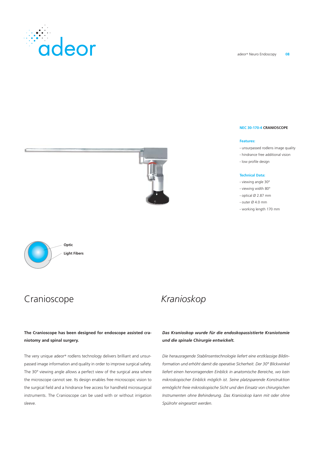

#### **NEC 30-170-4 CRANIOSCOPE**

#### **Features:**

- unsurpassed rodlens image quality
- hindrance free additional vision
- low profile design

#### **Technical Data:**

- viewing angle 30°
- viewing width 80°
- optical Ø 2.87 mm
- outer Ø 4.0 mm
- working length 170 mm



# Cranioscope *Kranioskop*

### **The Cranioscope has been designed for endoscope assisted craniotomy and spinal surgery.**

The very unique adeor® rodlens technology delivers brilliant and unsurpassed image information and quality in order to improve surgical safety. The 30° viewing angle allows a perfect view of the surgical area where the microscope cannot see. Its design enables free microscopic vision to the surgical field and a hindrance free access for handheld microsurgical instruments. The Cranioscope can be used with or without irrigation sleeve.

### *Das Kranioskop wurde für die endoskopassistierte Kraniotomie und die spinale Chirurgie entwickelt.*

*Die herausragende Stablinsentechnologie liefert eine erstklassige Bildinformation und erhöht damit die operative Sicherheit. Der 30° Blickwinkel liefert einen hervorragenden Einblick in anatomische Bereiche, wo kein mikroskopischer Einblick möglich ist. Seine platzsparende Konstruktion ermöglicht freie mikroskopische Sicht und den Einsatz von chirurgischen Instrumenten ohne Behinderung. Das Kranioskop kann mit oder ohne Spülrohr eingesetzt werden.*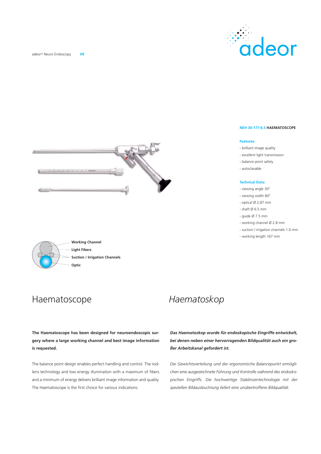

### **NEH 30-177-6.5 HAEMATOSCOPE**

#### **Features:**

- brilliant image quality
- excellent light transmission
- balance point safety
- autoclavable

#### **Technical Data:**

- viewing angle 30°
- viewing width 80°
- optical Ø 2,87 mm
- shaft Ø 6.5 mm
- guide Ø 7.5 mm
- working channel Ø 2.8 mm
- suction / irrigation channels 1.0 mm
- working length 167 mm





# Haematoscope *Haematoskop*

### **The Haematoscope has been designed for neuroendoscopic surgery where a large working channel and best image information is requested.**

The balance point design enables perfect handling and control. The rodlens technology and low energy illumination with a maximum of fibers and a minimum of energy delivers brilliant image information and quality. The Haematoscope is the first choice for various indications.

*Das Haematoskop wurde für endoskopische Eingriffe entwickelt, bei denen neben einer hervorragenden Bildqualität auch ein großer Arbeitskanal gefordert ist.*

*Die Gewichtsverteilung und der ergonomische Balancepunkt ermöglichen eine ausgezeichnete Führung und Kontrolle während des endoskopischen Eingriffs. Die hochwertige Stablinsentechnologie mit der speziellen Bildausleuchtung liefert eine unübertroffene Bildqualität.*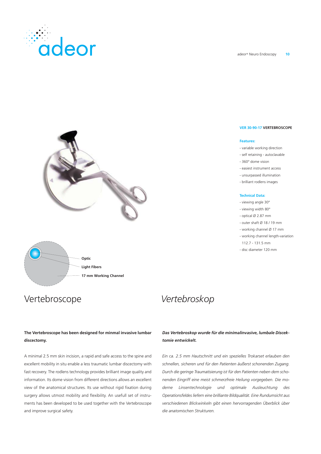

#### **VER 30-90-17 VERTEBROSCOPE**

#### **Features:**

- variable working direction
- self retaining autoclavable
- 360° dome vision
- easiest instrument access
- unsurpassed illumination
- brilliant rodlens images

#### **Technical Data:**

- viewing angle 30°
- viewing width 80°
- optical Ø 2.87 mm
- outer shaft Ø 18 / 19 mm
- working channel Ø 17 mm
- working channel length-variation 112.7 - 131.5 mm
- disc diameter 120 mm



# Vertebroscope *Vertebroskop*

### **The Vertebroscope has been designed for minmal invasive lumbar discectomy.**

A minimal 2.5 mm skin incision, a rapid and safe access to the spine and excellent mobility in situ enable a less traumatic lumbar discectomy with fast recovery. The rodlens technology provides brilliant image quality and information. Its dome vision from different directions allows an excellent view of the anatomical structures. Its use without rigid fixation during surgery allows utmost mobility and flexibility. An usefull set of instruments has been developed to be used together with the Vertebroscope and improve surgical safety.

### *Das Vertebroskop wurde für die minimalinvasive, lumbale Discektomie entwickelt.*

*Ein ca. 2.5 mm Hautschnitt und ein spezielles Trokarset erlauben den schnellen, sicheren und für den Patienten äußerst schonenden Zugang. Durch die geringe Traumatisierung ist für den Patienten neben dem schonenden Eingriff eine meist schmerzfreie Heilung vorgegeben. Die moderne Linsentechnologie und optimale Ausleuchtung des Operationsfeldes liefern eine brilliante Bildqualität. Eine Rundumsicht aus verschiedenen Blickwinkeln gibt einen hervorragenden Überblick über die anatomischen Strukturen.*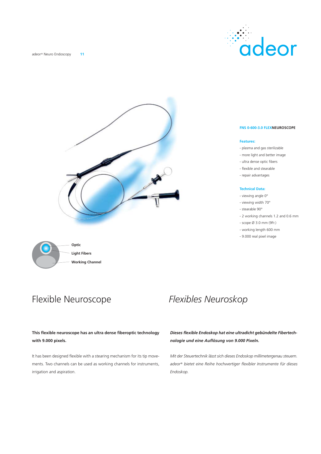



#### **FNS 0-600-3.0 FLEXNEUROSCOPE**

#### **Features:**

- plasma and gas sterilizable
- more light and better image
- ultra dense optic fibers
- flexible and stearable
- repair advantages

#### **Technical Data:**

- viewing angle 0°
- viewing width 70°
- stearable 90°
- 2 working channels 1.2 and 0.6 mm
- scope Ø 3.0 mm (9Fr.)
- working length 600 mm
- 9.000 real pixel image

# Flexible Neuroscope *Flexibles Neuroskop*

### **This flexible neuroscope has an ultra dense fiberoptic technology with 9.000 pixels.**

It has been designed flexible with a stearing mechanism for its tip movements. Two channels can be used as working channels for instruments, irrigation and aspiration.

## *Dieses flexible Endoskop hat eine ultradicht gebündelte Fibertechnologie und eine Auflösung von 9.000 Pixeln.*

*Mit der Steuertechnik lässt sich dieses Endoskop millimetergenau steuern. adeor® bietet eine Reihe hochwertiger flexibler Instrumente für dieses Endoskop.*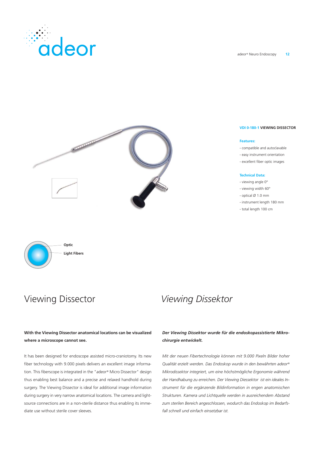

#### **VDI 0-180-1 VIEWING DISSECTOR**

#### **Features:**

- compatible and autoclavable
- easy instrument orientation
- excellent fiber optic images

#### **Technical Data:**

- viewing angle 0°
- viewing width 60°
- optical Ø 1.0 mm
- instrument length 180 mm
- total length 100 cm



## Viewing Dissector *Viewing Dissektor*

### **With the Viewing Dissector anatomical locations can be visualized where a microscope cannot see.**

**Alliance of the Contractor** 

It has been designed for endoscope assisted micro-craniotomy. Its new fiber technology with 9.000 pixels delivers an excellent image information. This fiberscope is integrated in the "adeor® Micro Dissector" design thus enabling best balance and a precise and relaxed handhold during surgery. The Viewing Dissector is ideal for additional image information during surgery in very narrow anatomical locations. The camera and lightsource connections are in a non-sterile distance thus enabling its immediate use without sterile cover sleeves.

### *Der Viewing Dissektor wurde für die endoskopassistierte Mikrochirurgie entwickelt.*

*Mit der neuen Fibertechnologie können mit 9.000 Pixeln Bilder hoher Qualität erzielt werden. Das Endoskop wurde in den bewährten adeor® Mikrodissektor integriert, um eine höchstmögliche Ergonomie während der Handhabung zu erreichen. Der Viewing Diessektor ist ein ideales Instrument für die ergänzende Bildinformation in engen anatomischen Strukturen. Kamera und Lichtquelle werden in ausreichendem Abstand zum sterilen Bereich angeschlossen, wodurch das Endoskop im Bedarfsfall schnell und einfach einsetzbar ist.*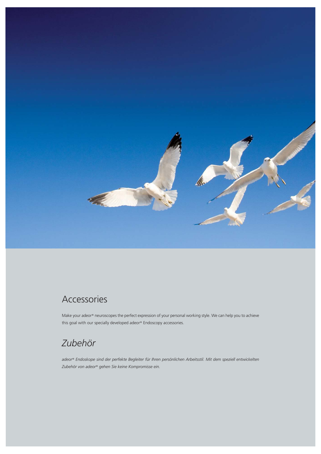

# Accessories

Make your adeor® neuroscopes the perfect expression of your personal working style. We can help you to achieve this goal with our specially developed adeor® Endoscopy accessories.

# *Zubehör*

*adeor® Endoskope sind der perfekte Begleiter für Ihren persönlichen Arbeitsstil. Mit dem speziell entwickelten Zubehör von adeor® gehen Sie keine Kompromisse ein.*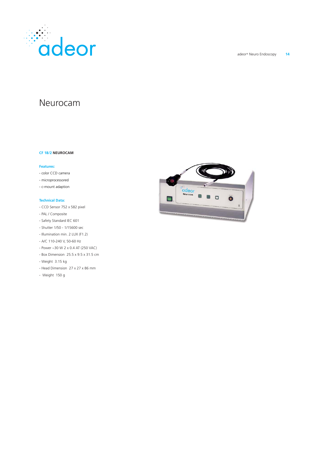

## Neurocam

#### **CF 18/2 NEUROCAM**

#### **Features:**

- color CCD camera
- microprocessored
- c-mount adaption

### **Technical Data:**

- CCD Sensor 752 x 582 pixel
- PAL / Composite
- Safety Standard IEC 601
- Shutter 1/50 1/15600 sec
- Illumination min. 2 LUX (F1.2)
- A/C 110-240 V, 50-60 Hz
- Power ~30 W 2 x 0.4 AT (250 VAC)
- Box Dimension 25.5 x 9.5 x 31.5 cm
- Weight 3.15 kg
- Head Dimension 27 x 27 x 86 mm
- Weight 150 g

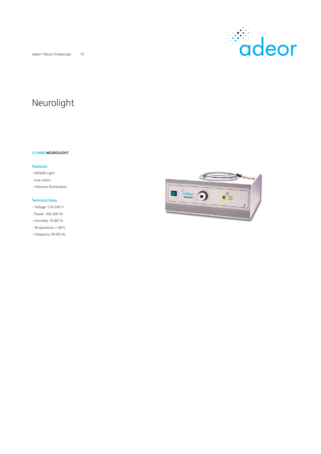

# Neurolight

### **LS 9400 NEUROLIGHT**

#### **Features:**

- XENON Light
- true colors
- intensive illumination

### **Technical Data:**

- Voltage 110-240 V
- Power 100-300 W
- Humidity 10-80 %
- Temperature < 40°C
- Frequency 50-60 Hz

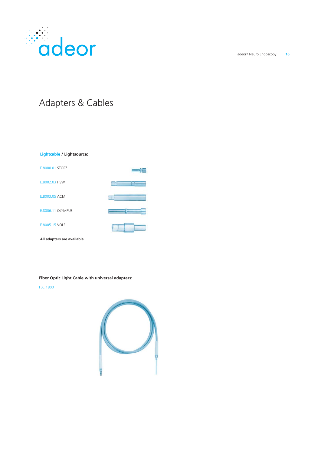

# Adapters & Cables

**Lightcable / Lightsource:**

| E.8000.01 STORZ   |  |
|-------------------|--|
| E.8002.03 HSW     |  |
| E.8003.05 ACM     |  |
| E.8006.11 OLYMPUS |  |
| E.8005.15 VOLPI   |  |

**All adapters are available.**

**Fiber Optic Light Cable with universal adapters:**

FLC 1800

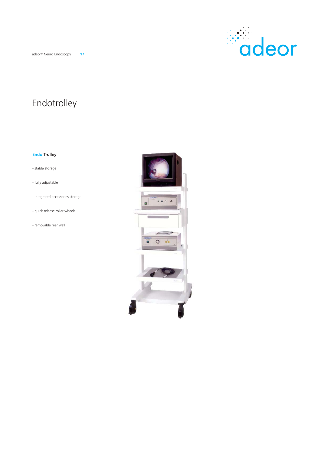

# Endotrolley

**Endo Trolley**

- stable storage

- fully adjustable

- integrated accessories storage
- quick release roller wheels

- removable rear wall

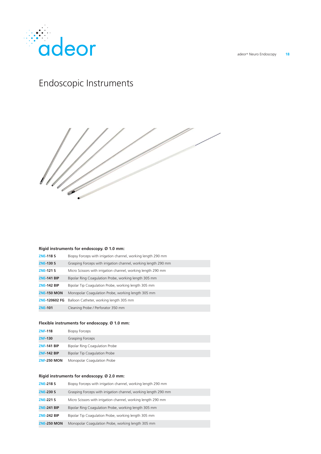

# Endoscopic Instruments

e de la comparable de la comparable de la comparable de la comparable de la comparable de la comparable de la comparable de la comparable de la comparable de la comparable de la comparable de la comparable de la comparable V) b Ï **SEPTE** 

### **Rigid instruments for endoscopy. Ø 1.0 mm:**

| <b>ZNE-118 S</b>   | Biopsy Forceps with irrigation channel, working length 290 mm   |
|--------------------|-----------------------------------------------------------------|
| <b>ZNE-130 S</b>   | Grasping Forceps with irrigation channel, working length 290 mm |
| <b>ZNE-121 S</b>   | Micro Scissors with irrigation channel, working length 290 mm   |
| <b>ZNE-141 BIP</b> | Bipolar Ring Coagulation Probe, working length 305 mm           |
| <b>ZNE-142 BIP</b> | Bipolar Tip Coagulation Probe, working length 305 mm            |
| <b>ZNE-150 MON</b> | Monopolar Coagulation Probe, working length 305 mm              |
|                    | <b>ZNE-120602 FG</b> Balloon Catheter, working length 305 mm    |
| <b>ZNE-101</b>     | Cleaning Probe / Perforator 350 mm                              |

### **Flexible instruments for endoscopy. Ø 1.0 mm:**

| <b>ZNF-118</b>     | <b>Biopsy Forceps</b>                 |
|--------------------|---------------------------------------|
| <b>ZNF-130</b>     | Grasping Forceps                      |
| <b>ZNF-141 BIP</b> | <b>Bipolar Ring Coagulation Probe</b> |
| <b>ZNF-142 BIP</b> | <b>Bipolar Tip Coagulation Probe</b>  |
| <b>ZNF-250 MON</b> | Monopolar Coagulation Probe           |

### **Rigid instruments for endoscopy. Ø 2.0 mm:**

| <b>ZNE-218 S</b>   | Biopsy Forceps with irrigation channel, working length 290 mm   |
|--------------------|-----------------------------------------------------------------|
| <b>ZNE-230 S</b>   | Grasping Forceps with irrigation channel, working length 290 mm |
| <b>ZNE-221 S</b>   | Micro Scissors with irrigation channel, working length 290 mm   |
| <b>ZNE-241 BIP</b> | Bipolar Ring Coagulation Probe, working length 305 mm           |
| <b>ZNE-242 BIP</b> | Bipolar Tip Coagulation Probe, working length 305 mm            |
| <b>ZNE-250 MON</b> | Monopolar Coagulation Probe, working length 305 mm              |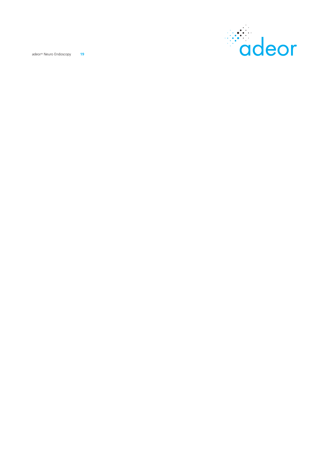